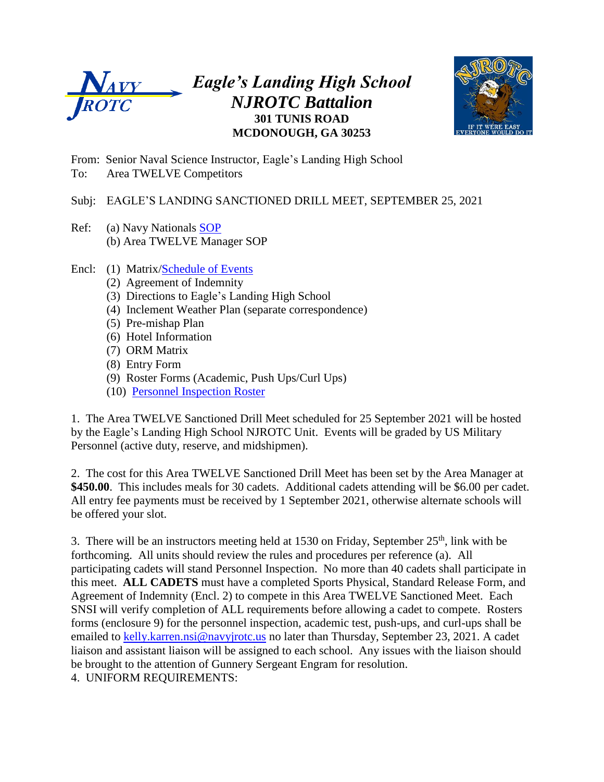

## *Eagle's Landing High School NJROTC Battalion* **301 TUNIS ROAD MCDONOUGH, GA 30253**



From: Senior Naval Science Instructor, Eagle's Landing High School To: Area TWELVE Competitors

#### Subj: EAGLE'S LANDING SANCTIONED DRILL MEET, SEPTEMBER 25, 2021

- Ref: (a) Navy Nationals [SOP](https://thenationals.net/nn-sop.pdf) (b) Area TWELVE Manager SOP
- Encl: (1) Matrix[/Schedule of Events](https://docs.google.com/spreadsheets/d/1MEiOBJC5ZqGf0ZgmRpGm6xLZ6X-MqQgo/edit#gid=275835328)
	- (2) Agreement of Indemnity
	- (3) Directions to Eagle's Landing High School
	- (4) Inclement Weather Plan (separate correspondence)
	- (5) Pre-mishap Plan
	- (6) Hotel Information
	- (7) ORM Matrix
	- (8) Entry Form
	- (9) Roster Forms (Academic, Push Ups/Curl Ups)
	- (10) [Personnel Inspection Roster](https://docs.google.com/document/d/1yRd2xP2MwtPkqy8R1Jh0PBQepqY6aoWy/edit)

1. The Area TWELVE Sanctioned Drill Meet scheduled for 25 September 2021 will be hosted by the Eagle's Landing High School NJROTC Unit. Events will be graded by US Military Personnel (active duty, reserve, and midshipmen).

2. The cost for this Area TWELVE Sanctioned Drill Meet has been set by the Area Manager at **\$450.00**. This includes meals for 30 cadets. Additional cadets attending will be \$6.00 per cadet. All entry fee payments must be received by 1 September 2021, otherwise alternate schools will be offered your slot.

3. There will be an instructors meeting held at 1530 on Friday, September  $25<sup>th</sup>$ , link with be forthcoming. All units should review the rules and procedures per reference (a). All participating cadets will stand Personnel Inspection. No more than 40 cadets shall participate in this meet. **ALL CADETS** must have a completed Sports Physical, Standard Release Form, and Agreement of Indemnity (Encl. 2) to compete in this Area TWELVE Sanctioned Meet. Each SNSI will verify completion of ALL requirements before allowing a cadet to compete. Rosters forms (enclosure 9) for the personnel inspection, academic test, push-ups, and curl-ups shall be emailed to [kelly.karren.nsi@navyjrotc.us](mailto:kelly.karren.nsi@navyjrotc.us) no later than Thursday, September 23, 2021. A cadet liaison and assistant liaison will be assigned to each school. Any issues with the liaison should be brought to the attention of Gunnery Sergeant Engram for resolution.

4. UNIFORM REQUIREMENTS: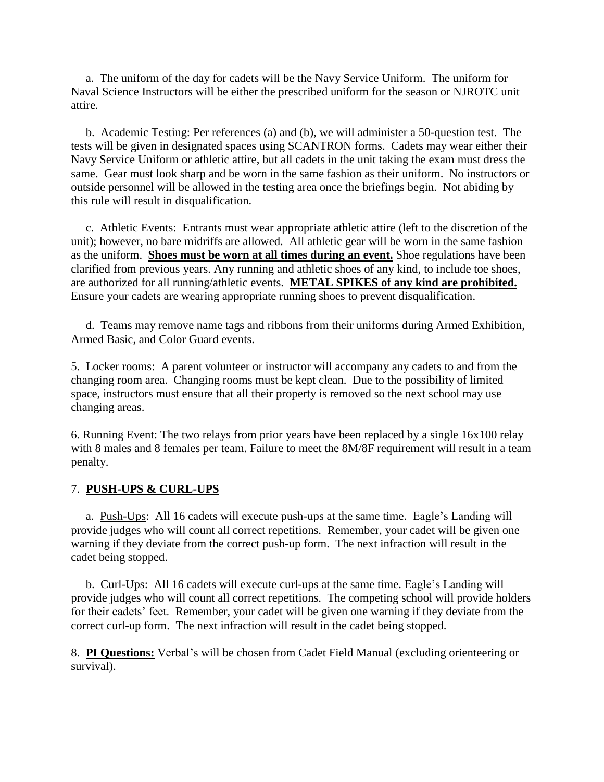a. The uniform of the day for cadets will be the Navy Service Uniform. The uniform for Naval Science Instructors will be either the prescribed uniform for the season or NJROTC unit attire.

 b. Academic Testing: Per references (a) and (b), we will administer a 50-question test. The tests will be given in designated spaces using SCANTRON forms. Cadets may wear either their Navy Service Uniform or athletic attire, but all cadets in the unit taking the exam must dress the same. Gear must look sharp and be worn in the same fashion as their uniform. No instructors or outside personnel will be allowed in the testing area once the briefings begin. Not abiding by this rule will result in disqualification.

 c. Athletic Events: Entrants must wear appropriate athletic attire (left to the discretion of the unit); however, no bare midriffs are allowed. All athletic gear will be worn in the same fashion as the uniform. **Shoes must be worn at all times during an event.** Shoe regulations have been clarified from previous years. Any running and athletic shoes of any kind, to include toe shoes, are authorized for all running/athletic events. **METAL SPIKES of any kind are prohibited.** Ensure your cadets are wearing appropriate running shoes to prevent disqualification.

 d. Teams may remove name tags and ribbons from their uniforms during Armed Exhibition, Armed Basic, and Color Guard events.

5. Locker rooms: A parent volunteer or instructor will accompany any cadets to and from the changing room area. Changing rooms must be kept clean. Due to the possibility of limited space, instructors must ensure that all their property is removed so the next school may use changing areas.

6. Running Event: The two relays from prior years have been replaced by a single 16x100 relay with 8 males and 8 females per team. Failure to meet the 8M/8F requirement will result in a team penalty.

#### 7. **PUSH-UPS & CURL-UPS**

 a. Push-Ups: All 16 cadets will execute push-ups at the same time. Eagle's Landing will provide judges who will count all correct repetitions. Remember, your cadet will be given one warning if they deviate from the correct push-up form. The next infraction will result in the cadet being stopped.

 b. Curl-Ups: All 16 cadets will execute curl-ups at the same time. Eagle's Landing will provide judges who will count all correct repetitions. The competing school will provide holders for their cadets' feet. Remember, your cadet will be given one warning if they deviate from the correct curl-up form. The next infraction will result in the cadet being stopped.

8. **PI Questions:** Verbal's will be chosen from Cadet Field Manual (excluding orienteering or survival).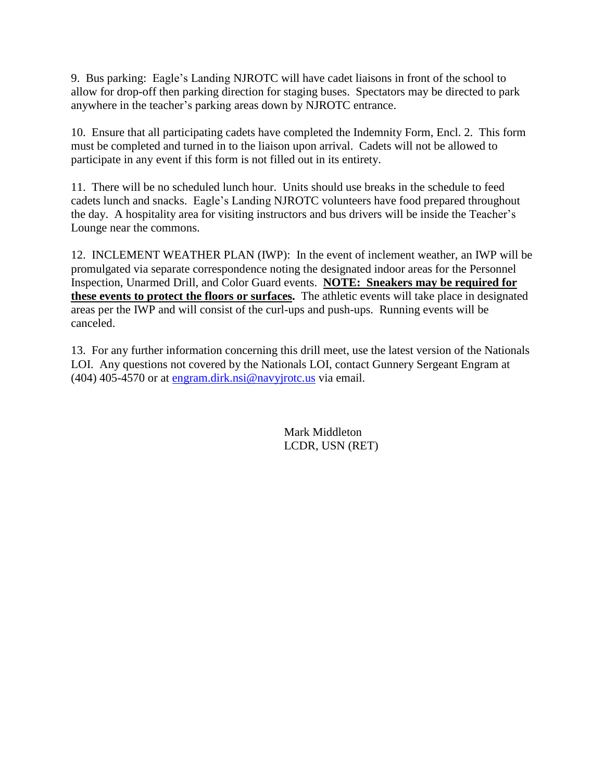9. Bus parking: Eagle's Landing NJROTC will have cadet liaisons in front of the school to allow for drop-off then parking direction for staging buses. Spectators may be directed to park anywhere in the teacher's parking areas down by NJROTC entrance.

10. Ensure that all participating cadets have completed the Indemnity Form, Encl. 2. This form must be completed and turned in to the liaison upon arrival. Cadets will not be allowed to participate in any event if this form is not filled out in its entirety.

11. There will be no scheduled lunch hour. Units should use breaks in the schedule to feed cadets lunch and snacks. Eagle's Landing NJROTC volunteers have food prepared throughout the day. A hospitality area for visiting instructors and bus drivers will be inside the Teacher's Lounge near the commons.

12. INCLEMENT WEATHER PLAN (IWP): In the event of inclement weather, an IWP will be promulgated via separate correspondence noting the designated indoor areas for the Personnel Inspection, Unarmed Drill, and Color Guard events. **NOTE: Sneakers may be required for these events to protect the floors or surfaces.** The athletic events will take place in designated areas per the IWP and will consist of the curl-ups and push-ups. Running events will be canceled.

13. For any further information concerning this drill meet, use the latest version of the Nationals LOI. Any questions not covered by the Nationals LOI, contact Gunnery Sergeant Engram at (404) 405-4570 or at [engram.dirk.nsi@navyjrotc.us](mailto:engram.dirk.nsi@navyjrotc.us) via email.

> Mark Middleton LCDR, USN (RET)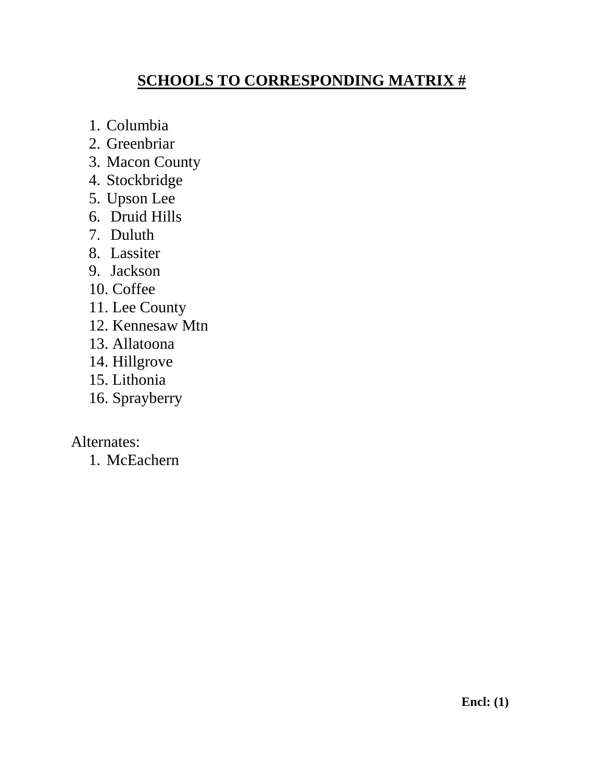# **SCHOOLS TO CORRESPONDING MATRIX #**

- 1. Columbia
- 2. Greenbriar
- 3. Macon County
- 4. Stockbridge
- 5. Upson Lee
- 6. Druid Hills
- 7. Duluth
- 8. Lassiter
- 9. Jackson
- 10. Coffee
- 11. Lee County
- 12. Kennesaw Mtn
- 13. Allatoona
- 14. Hillgrove
- 15. Lithonia
- 16. Sprayberry

Alternates:

1. McEachern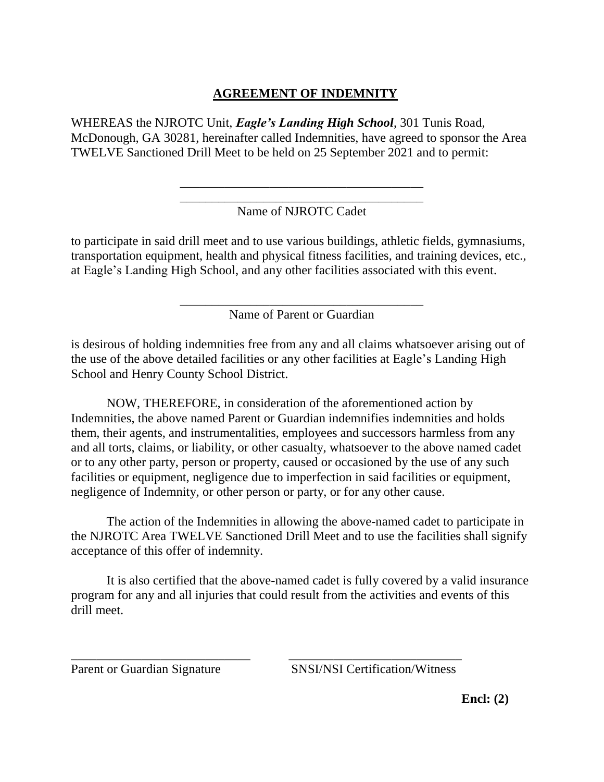### **AGREEMENT OF INDEMNITY**

WHEREAS the NJROTC Unit, *Eagle's Landing High School*, 301 Tunis Road, McDonough, GA 30281, hereinafter called Indemnities, have agreed to sponsor the Area TWELVE Sanctioned Drill Meet to be held on 25 September 2021 and to permit:

### \_\_\_\_\_\_\_\_\_\_\_\_\_\_\_\_\_\_\_\_\_\_\_\_\_\_\_\_\_\_\_\_\_\_\_\_\_\_ Name of NJROTC Cadet

\_\_\_\_\_\_\_\_\_\_\_\_\_\_\_\_\_\_\_\_\_\_\_\_\_\_\_\_\_\_\_\_\_\_\_\_\_\_

to participate in said drill meet and to use various buildings, athletic fields, gymnasiums, transportation equipment, health and physical fitness facilities, and training devices, etc., at Eagle's Landing High School, and any other facilities associated with this event.

> \_\_\_\_\_\_\_\_\_\_\_\_\_\_\_\_\_\_\_\_\_\_\_\_\_\_\_\_\_\_\_\_\_\_\_\_\_\_ Name of Parent or Guardian

is desirous of holding indemnities free from any and all claims whatsoever arising out of the use of the above detailed facilities or any other facilities at Eagle's Landing High School and Henry County School District.

NOW, THEREFORE, in consideration of the aforementioned action by Indemnities, the above named Parent or Guardian indemnifies indemnities and holds them, their agents, and instrumentalities, employees and successors harmless from any and all torts, claims, or liability, or other casualty, whatsoever to the above named cadet or to any other party, person or property, caused or occasioned by the use of any such facilities or equipment, negligence due to imperfection in said facilities or equipment, negligence of Indemnity, or other person or party, or for any other cause.

The action of the Indemnities in allowing the above-named cadet to participate in the NJROTC Area TWELVE Sanctioned Drill Meet and to use the facilities shall signify acceptance of this offer of indemnity.

It is also certified that the above-named cadet is fully covered by a valid insurance program for any and all injuries that could result from the activities and events of this drill meet.

\_\_\_\_\_\_\_\_\_\_\_\_\_\_\_\_\_\_\_\_\_\_\_\_\_\_\_\_ \_\_\_\_\_\_\_\_\_\_\_\_\_\_\_\_\_\_\_\_\_\_\_\_\_\_\_

Parent or Guardian Signature SNSI/NSI Certification/Witness

**Encl: (2)**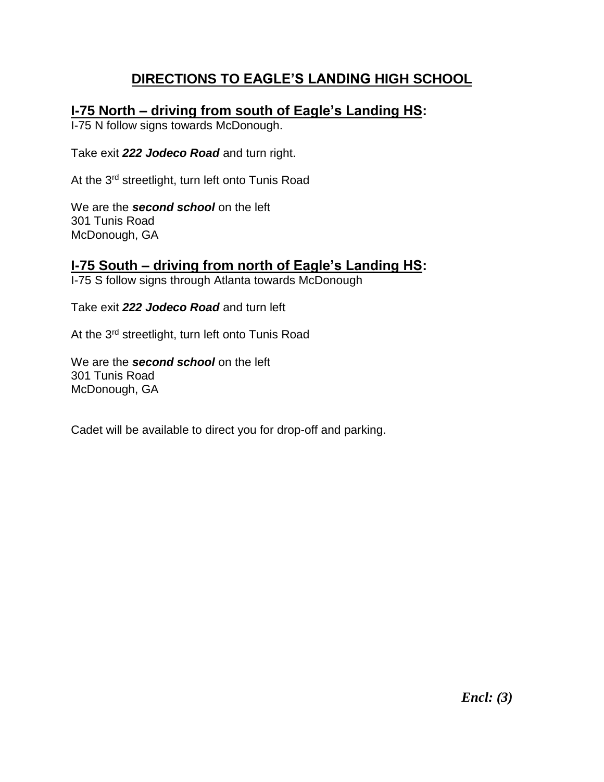# **DIRECTIONS TO EAGLE'S LANDING HIGH SCHOOL**

## **I-75 North – driving from south of Eagle's Landing HS:**

I-75 N follow signs towards McDonough.

Take exit *222 Jodeco Road* and turn right.

At the 3<sup>rd</sup> streetlight, turn left onto Tunis Road

We are the *second school* on the left 301 Tunis Road McDonough, GA

# **I-75 South – driving from north of Eagle's Landing HS:**

I-75 S follow signs through Atlanta towards McDonough

Take exit *222 Jodeco Road* and turn left

At the 3<sup>rd</sup> streetlight, turn left onto Tunis Road

We are the *second school* on the left 301 Tunis Road McDonough, GA

Cadet will be available to direct you for drop-off and parking.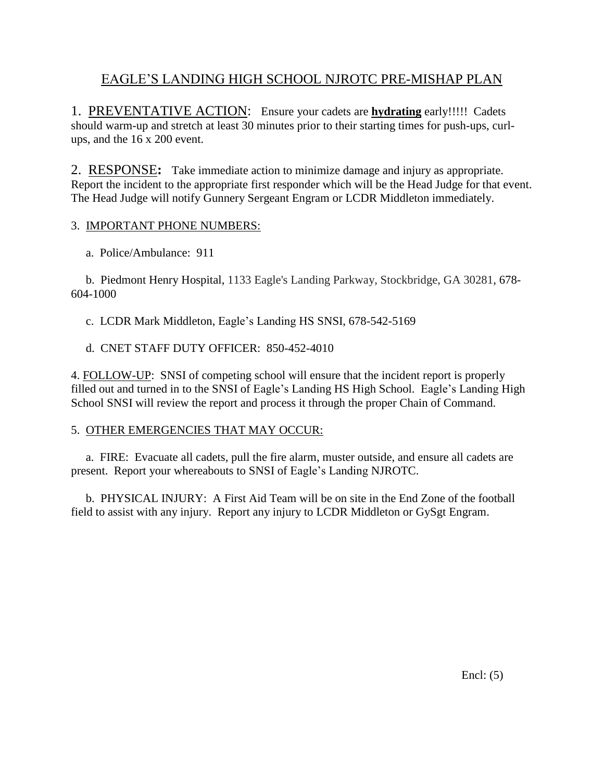## EAGLE'S LANDING HIGH SCHOOL NJROTC PRE-MISHAP PLAN

1. PREVENTATIVE ACTION: Ensure your cadets are **hydrating** early!!!!! Cadets should warm-up and stretch at least 30 minutes prior to their starting times for push-ups, curlups, and the 16 x 200 event.

2.RESPONSE**:** Take immediate action to minimize damage and injury as appropriate. Report the incident to the appropriate first responder which will be the Head Judge for that event. The Head Judge will notify Gunnery Sergeant Engram or LCDR Middleton immediately.

#### 3. IMPORTANT PHONE NUMBERS:

a. Police/Ambulance: 911

 b. Piedmont Henry Hospital, 1133 Eagle's Landing Parkway, Stockbridge, GA 30281, 678- 604-1000

c. LCDR Mark Middleton, Eagle's Landing HS SNSI, 678-542-5169

d. CNET STAFF DUTY OFFICER: 850-452-4010

4. FOLLOW-UP: SNSI of competing school will ensure that the incident report is properly filled out and turned in to the SNSI of Eagle's Landing HS High School. Eagle's Landing High School SNSI will review the report and process it through the proper Chain of Command.

#### 5. OTHER EMERGENCIES THAT MAY OCCUR:

 a. FIRE: Evacuate all cadets, pull the fire alarm, muster outside, and ensure all cadets are present. Report your whereabouts to SNSI of Eagle's Landing NJROTC.

 b. PHYSICAL INJURY: A First Aid Team will be on site in the End Zone of the football field to assist with any injury. Report any injury to LCDR Middleton or GySgt Engram.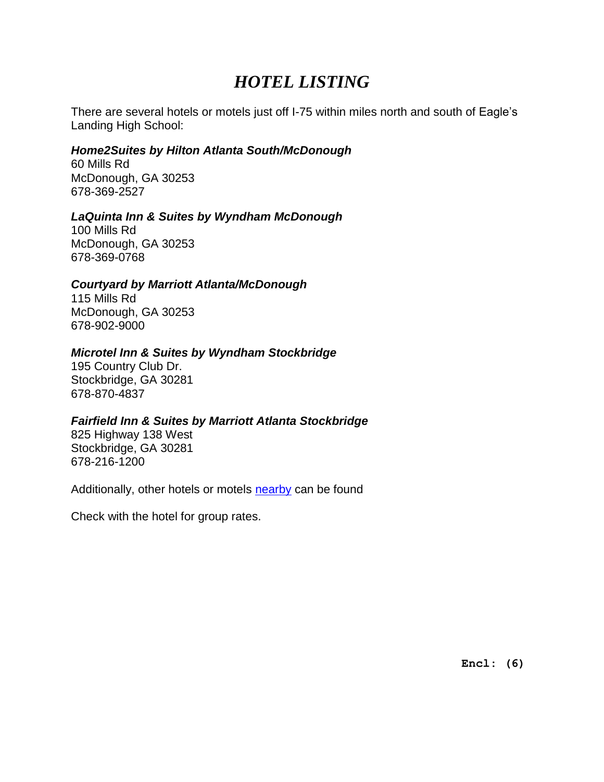# *HOTEL LISTING*

There are several hotels or motels just off I-75 within miles north and south of Eagle's Landing High School:

### *Home2Suites by Hilton Atlanta South/McDonough*

60 Mills Rd McDonough, GA 30253 678-369-2527

### *LaQuinta Inn & Suites by Wyndham McDonough*

100 Mills Rd McDonough, GA 30253 678-369-0768

#### *Courtyard by Marriott Atlanta/McDonough*

115 Mills Rd McDonough, GA 30253 678-902-9000

### *Microtel Inn & Suites by Wyndham Stockbridge*

195 Country Club Dr. Stockbridge, GA 30281 678-870-4837

#### *Fairfield Inn & Suites by Marriott Atlanta Stockbridge*

825 Highway 138 West Stockbridge, GA 30281 678-216-1200

Additionally, other hotels or motels [nearby](https://www.google.com/maps/dir/33.4602587,-84.2144141/eagles+landing+high+school/@33.4638939,-84.2144356,17z/data=!4m14!4m13!1m5!3m4!1m2!1d-84.2070736!2d33.4891239!3s0x88f457675726b94f:0x32f18cd39ac52c75!1m5!1m1!1s0x88f4576713cde705:0xb7b6dfeadfe7bd3!2m2!1d-84.2078706!2d33.4907438!3e0) can be found

Check with the hotel for group rates.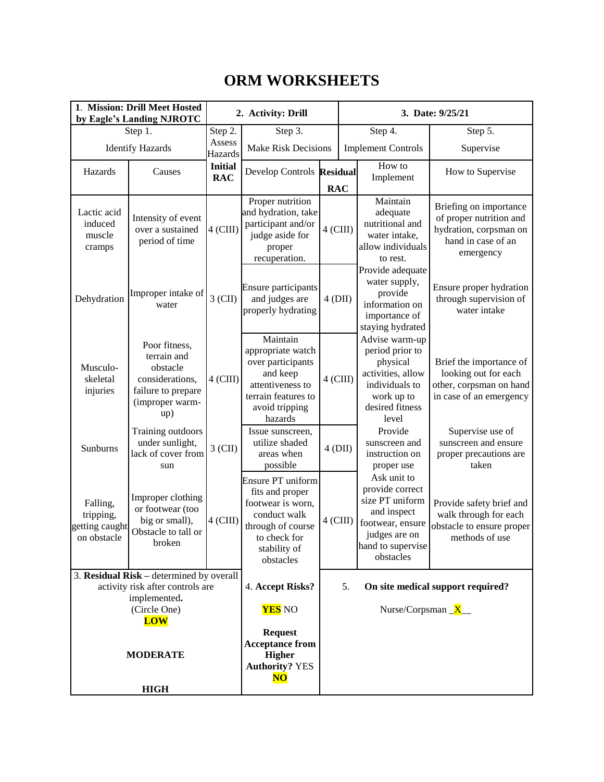# **ORM WORKSHEETS**

| 1. Mission: Drill Meet Hosted<br>by Eagle's Landing NJROTC                     |                                                                                                             |                                   | 2. Activity: Drill                                                                                                                          |            |                           | 3. Date: 9/25/21                                                                                                                        |                                                                                                                |
|--------------------------------------------------------------------------------|-------------------------------------------------------------------------------------------------------------|-----------------------------------|---------------------------------------------------------------------------------------------------------------------------------------------|------------|---------------------------|-----------------------------------------------------------------------------------------------------------------------------------------|----------------------------------------------------------------------------------------------------------------|
| Step 1.                                                                        |                                                                                                             | Step 2.                           | Step 3.                                                                                                                                     |            |                           | Step $\overline{4}$ .                                                                                                                   | Step 5.                                                                                                        |
| <b>Identify Hazards</b>                                                        |                                                                                                             | Assess<br>Hazards                 | <b>Make Risk Decisions</b>                                                                                                                  |            | <b>Implement Controls</b> |                                                                                                                                         | Supervise                                                                                                      |
| Hazards                                                                        | Causes                                                                                                      | <b>Initial</b><br><b>RAC</b>      | Develop Controls Residual                                                                                                                   | <b>RAC</b> |                           | How to<br>Implement                                                                                                                     | How to Supervise                                                                                               |
| Lactic acid<br>induced<br>muscle<br>cramps                                     | Intensity of event<br>over a sustained<br>period of time                                                    | $4$ (CIII)                        | Proper nutrition<br>and hydration, take<br>participant and/or<br>judge aside for<br>proper<br>recuperation.                                 | $4$ (CIII) |                           | Maintain<br>adequate<br>nutritional and<br>water intake,<br>allow individuals<br>to rest.                                               | Briefing on importance<br>of proper nutrition and<br>hydration, corpsman on<br>hand in case of an<br>emergency |
| Dehydration                                                                    | Improper intake of<br>water                                                                                 | $3$ (CII)                         | Ensure participants<br>and judges are<br>properly hydrating                                                                                 | $4$ (DII)  |                           | Provide adequate<br>water supply,<br>provide<br>information on<br>importance of<br>staying hydrated                                     | Ensure proper hydration<br>through supervision of<br>water intake                                              |
| Musculo-<br>skeletal<br>injuries                                               | Poor fitness,<br>terrain and<br>obstacle<br>considerations,<br>failure to prepare<br>(improper warm-<br>up) | $4$ (CIII)                        | Maintain<br>appropriate watch<br>over participants<br>and keep<br>attentiveness to<br>terrain features to<br>avoid tripping<br>hazards      | $4$ (CIII) |                           | Advise warm-up<br>period prior to<br>physical<br>activities, allow<br>individuals to<br>work up to<br>desired fitness<br>level          | Brief the importance of<br>looking out for each<br>other, corpsman on hand<br>in case of an emergency          |
| Sunburns                                                                       | Training outdoors<br>under sunlight,<br>lack of cover from<br>sun                                           | $3$ (CII)                         | Issue sunscreen,<br>utilize shaded<br>areas when<br>possible                                                                                | 4(DII)     |                           | Provide<br>sunscreen and<br>instruction on<br>proper use                                                                                | Supervise use of<br>sunscreen and ensure<br>proper precautions are<br>taken                                    |
| Falling,<br>tripping,<br>getting caught<br>on obstacle                         | Improper clothing<br>or footwear (too<br>big or small),<br>Obstacle to tall or<br>broken                    | $4$ (CIII)                        | Ensure PT uniform<br>fits and proper<br>footwear is worn,<br>conduct walk<br>through of course<br>to check for<br>stability of<br>obstacles | $4$ (CIII) |                           | Ask unit to<br>provide correct<br>size PT uniform<br>and inspect<br>footwear, ensure<br>judges are on<br>hand to supervise<br>obstacles | Provide safety brief and<br>walk through for each<br>obstacle to ensure proper<br>methods of use               |
|                                                                                | 3. Residual Risk - determined by overall                                                                    |                                   |                                                                                                                                             |            |                           |                                                                                                                                         |                                                                                                                |
| activity risk after controls are<br>implemented.<br>(Circle One)<br><b>LOW</b> |                                                                                                             | 4. Accept Risks?<br><b>YES</b> NO |                                                                                                                                             | 5.         | Nurse/Corpsman $X$        | On site medical support required?                                                                                                       |                                                                                                                |
| <b>MODERATE</b><br><b>HIGH</b>                                                 |                                                                                                             |                                   | <b>Request</b><br><b>Acceptance from</b><br><b>Higher</b><br><b>Authority? YES</b><br>$\overline{\text{NO}}$                                |            |                           |                                                                                                                                         |                                                                                                                |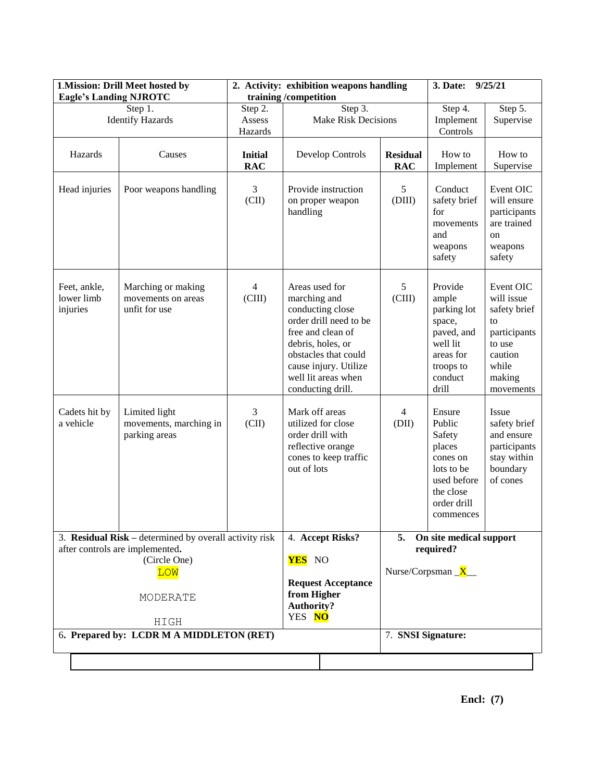| 1. Mission: Drill Meet hosted by<br><b>Eagle's Landing NJROTC</b>                                                                           |                                                           |                              | 2. Activity: exhibition weapons handling<br>training/competition                                                                                                                                                    | 9/25/21<br>3. Date:                                           |                                                                                                                        |                                                                                                                    |
|---------------------------------------------------------------------------------------------------------------------------------------------|-----------------------------------------------------------|------------------------------|---------------------------------------------------------------------------------------------------------------------------------------------------------------------------------------------------------------------|---------------------------------------------------------------|------------------------------------------------------------------------------------------------------------------------|--------------------------------------------------------------------------------------------------------------------|
|                                                                                                                                             | Step 1.<br><b>Identify Hazards</b>                        | Step 2.<br>Assess<br>Hazards | Step 3.<br><b>Make Risk Decisions</b>                                                                                                                                                                               |                                                               | Step 4.<br>Implement<br>Controls                                                                                       | Step 5.<br>Supervise                                                                                               |
| Hazards                                                                                                                                     | Causes                                                    | <b>Initial</b><br><b>RAC</b> | Develop Controls                                                                                                                                                                                                    | <b>Residual</b><br><b>RAC</b>                                 | How to<br>Implement                                                                                                    | How to<br>Supervise                                                                                                |
| Head injuries                                                                                                                               | Poor weapons handling                                     | 3<br>(CII)                   | Provide instruction<br>on proper weapon<br>handling                                                                                                                                                                 | 5<br>(DIII)                                                   | Conduct<br>safety brief<br>for<br>movements<br>and<br>weapons<br>safety                                                | Event OIC<br>will ensure<br>participants<br>are trained<br>on<br>weapons<br>safety                                 |
| Feet, ankle,<br>lower limb<br>injuries                                                                                                      | Marching or making<br>movements on areas<br>unfit for use | $\overline{4}$<br>(CIII)     | Areas used for<br>marching and<br>conducting close<br>order drill need to be<br>free and clean of<br>debris, holes, or<br>obstacles that could<br>cause injury. Utilize<br>well lit areas when<br>conducting drill. | 5<br>(CIII)                                                   | Provide<br>ample<br>parking lot<br>space,<br>paved, and<br>well lit<br>areas for<br>troops to<br>conduct<br>drill      | Event OIC<br>will issue<br>safety brief<br>to<br>participants<br>to use<br>caution<br>while<br>making<br>movements |
| Cadets hit by<br>a vehicle                                                                                                                  | Limited light<br>movements, marching in<br>parking areas  | 3<br>$\rm (CII)$             | Mark off areas<br>utilized for close<br>order drill with<br>reflective orange<br>cones to keep traffic<br>out of lots                                                                                               | 4<br>(DII)                                                    | Ensure<br>Public<br>Safety<br>places<br>cones on<br>lots to be<br>used before<br>the close<br>order drill<br>commences | Issue<br>safety brief<br>and ensure<br>participants<br>stay within<br>boundary<br>of cones                         |
| 3. <b>Residual Risk</b> – determined by overall activity risk<br>after controls are implemented.<br>(Circle One)<br>LOW<br>MODERATE<br>HIGH |                                                           |                              | 4. Accept Risks?<br><b>YES</b> NO<br><b>Request Acceptance</b><br>from Higher<br><b>Authority?</b><br>YES NO                                                                                                        | 5. On site medical support<br>required?<br>Nurse/Corpsman $X$ |                                                                                                                        |                                                                                                                    |
| 6. Prepared by: LCDR M A MIDDLETON (RET)                                                                                                    |                                                           |                              |                                                                                                                                                                                                                     | 7. SNSI Signature:                                            |                                                                                                                        |                                                                                                                    |
|                                                                                                                                             |                                                           |                              |                                                                                                                                                                                                                     |                                                               |                                                                                                                        |                                                                                                                    |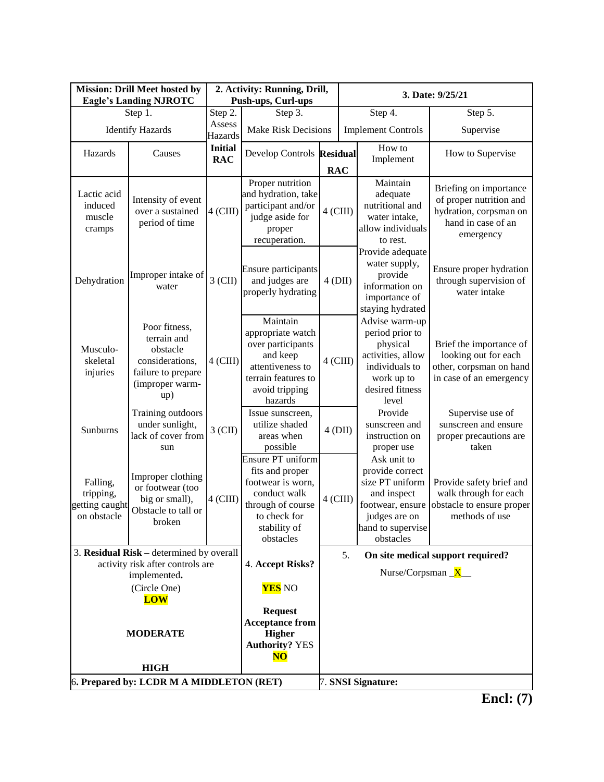| <b>Mission: Drill Meet hosted by</b><br><b>Eagle's Landing NJROTC</b> |                                                                                                             |                                                                                          | 2. Activity: Running, Drill,<br>Push-ups, Curl-ups                                                                                          |            | 3. Date: 9/25/21 |                                                                                                                                         |                                                                                                                |
|-----------------------------------------------------------------------|-------------------------------------------------------------------------------------------------------------|------------------------------------------------------------------------------------------|---------------------------------------------------------------------------------------------------------------------------------------------|------------|------------------|-----------------------------------------------------------------------------------------------------------------------------------------|----------------------------------------------------------------------------------------------------------------|
| Step 1.                                                               |                                                                                                             | Step 2.                                                                                  | Step 3.                                                                                                                                     |            | Step 4.          |                                                                                                                                         | Step 5.                                                                                                        |
|                                                                       | <b>Identify Hazards</b>                                                                                     | Assess<br>Hazards                                                                        | <b>Make Risk Decisions</b>                                                                                                                  |            |                  | <b>Implement Controls</b>                                                                                                               | Supervise                                                                                                      |
| Hazards                                                               | Causes                                                                                                      | <b>Initial</b><br><b>RAC</b>                                                             | Develop Controls Residual                                                                                                                   | <b>RAC</b> |                  | How to<br>Implement                                                                                                                     | How to Supervise                                                                                               |
| Lactic acid<br>induced<br>muscle<br>cramps                            | Intensity of event<br>over a sustained<br>period of time                                                    | $4$ (CIII)                                                                               | Proper nutrition<br>and hydration, take<br>participant and/or<br>judge aside for<br>proper<br>recuperation.                                 | $4$ (CIII) |                  | Maintain<br>adequate<br>nutritional and<br>water intake,<br>allow individuals<br>to rest.                                               | Briefing on importance<br>of proper nutrition and<br>hydration, corpsman on<br>hand in case of an<br>emergency |
| Dehydration                                                           | Improper intake of<br>water                                                                                 | 3 (CII)                                                                                  | Ensure participants<br>and judges are<br>properly hydrating                                                                                 | $4$ (DII)  |                  | Provide adequate<br>water supply,<br>provide<br>information on<br>importance of<br>staying hydrated                                     | Ensure proper hydration<br>through supervision of<br>water intake                                              |
| Musculo-<br>skeletal<br>injuries                                      | Poor fitness,<br>terrain and<br>obstacle<br>considerations,<br>failure to prepare<br>(improper warm-<br>up) | $4$ (CIII)                                                                               | Maintain<br>appropriate watch<br>over participants<br>and keep<br>attentiveness to<br>terrain features to<br>avoid tripping<br>hazards      | $4$ (CIII) |                  | Advise warm-up<br>period prior to<br>physical<br>activities, allow<br>individuals to<br>work up to<br>desired fitness<br>level          | Brief the importance of<br>looking out for each<br>other, corpsman on hand<br>in case of an emergency          |
| Sunburns                                                              | Training outdoors<br>under sunlight,<br>lack of cover from<br>sun                                           | $3$ (CII)                                                                                | Issue sunscreen,<br>utilize shaded<br>areas when<br>possible                                                                                | 4(DII)     |                  | Provide<br>sunscreen and<br>instruction on<br>proper use                                                                                | Supervise use of<br>sunscreen and ensure<br>proper precautions are<br>taken                                    |
| Falling,<br>tripping,<br>getting caught<br>on obstacle                | Improper clothing<br>or footwear (too<br>big or small),<br>Obstacle to tall or<br>broken                    | $4$ (CIII)                                                                               | Ensure PT uniform<br>fits and proper<br>footwear is worn,<br>conduct walk<br>through of course<br>to check for<br>stability of<br>obstacles | $4$ (CIII) |                  | Ask unit to<br>provide correct<br>size PT uniform<br>and inspect<br>footwear, ensure<br>judges are on<br>hand to supervise<br>obstacles | Provide safety brief and<br>walk through for each<br>obstacle to ensure proper<br>methods of use               |
|                                                                       | 3. Residual Risk – determined by overall                                                                    |                                                                                          |                                                                                                                                             |            | 5.               |                                                                                                                                         | On site medical support required?                                                                              |
| activity risk after controls are<br>implemented.                      |                                                                                                             |                                                                                          | 4. Accept Risks?                                                                                                                            |            |                  | Nurse/Corpsman $X$                                                                                                                      |                                                                                                                |
| (Circle One)                                                          |                                                                                                             | <b>YES</b> NO                                                                            |                                                                                                                                             |            |                  |                                                                                                                                         |                                                                                                                |
| <b>LOW</b>                                                            |                                                                                                             |                                                                                          |                                                                                                                                             |            |                  |                                                                                                                                         |                                                                                                                |
| <b>MODERATE</b>                                                       |                                                                                                             | <b>Request</b><br><b>Acceptance from</b><br><b>Higher</b><br><b>Authority? YES</b><br>NO |                                                                                                                                             |            |                  |                                                                                                                                         |                                                                                                                |
|                                                                       | <b>HIGH</b><br>6. Prepared by: LCDR M A MIDDLETON (RET)                                                     |                                                                                          |                                                                                                                                             |            |                  | 7. SNSI Signature:                                                                                                                      |                                                                                                                |

**Encl: (7)**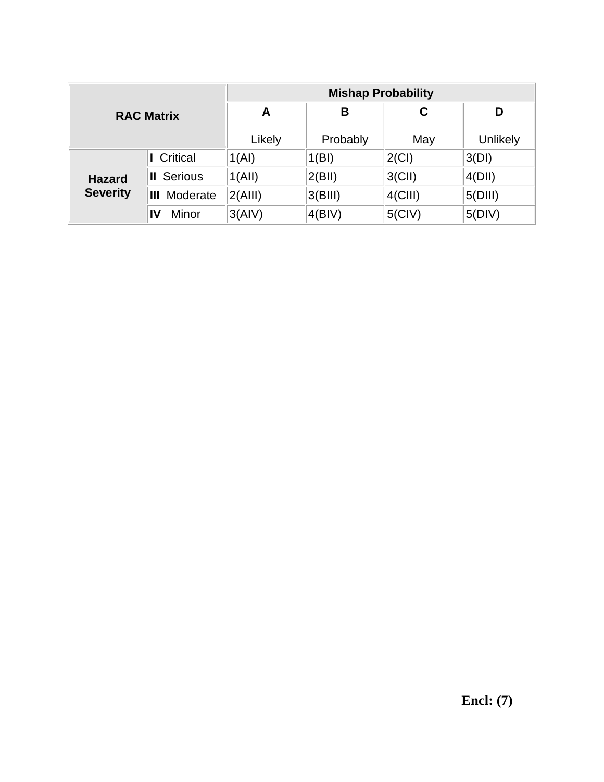| <b>RAC Matrix</b>                |                     | <b>Mishap Probability</b> |          |            |          |  |  |
|----------------------------------|---------------------|---------------------------|----------|------------|----------|--|--|
|                                  |                     | A                         | в        | C          | D        |  |  |
|                                  |                     | Likely                    | Probably | May        | Unlikely |  |  |
|                                  | Critical            | 1(AI)                     | 1(BI)    | $2$ (CI)   | 3(DI)    |  |  |
| <b>Hazard</b><br><b>Severity</b> | <b>II</b> Serious   | 1(AII)                    | 2(BII)   | $3$ (CII)  | 4(DII)   |  |  |
|                                  | <b>III</b> Moderate | 2(AIII)                   | 3(BIII)  | $4$ (CIII) | 5(DIII)  |  |  |
|                                  | Minor<br>IV         | 3(AIV)                    | 4(BIV)   | $5$ (CIV)  | 5(DIV)   |  |  |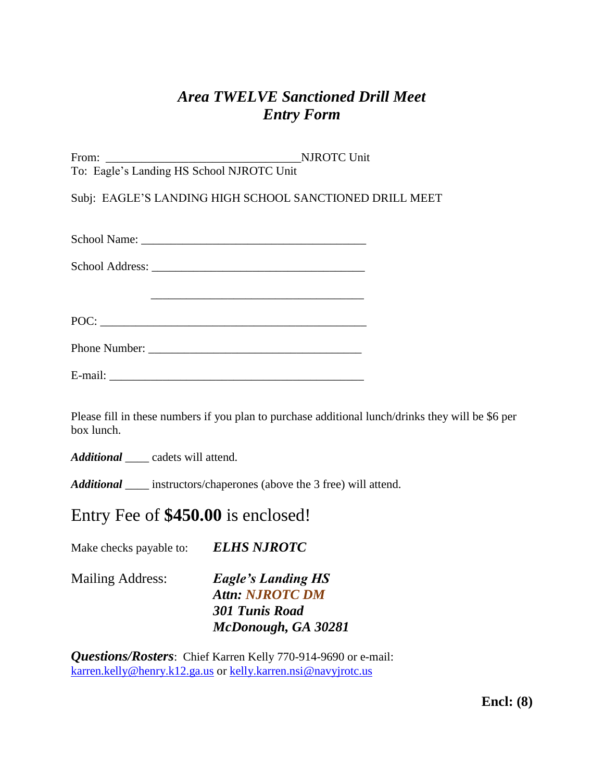# *Area TWELVE Sanctioned Drill Meet Entry Form*

| From:                                     | <b>NJROTC Unit</b> |
|-------------------------------------------|--------------------|
| To: Eagle's Landing HS School NJROTC Unit |                    |

Subj: EAGLE'S LANDING HIGH SCHOOL SANCTIONED DRILL MEET

| <b>School Name:</b> |  |
|---------------------|--|
|                     |  |

 $\frac{1}{\sqrt{2}}$  ,  $\frac{1}{\sqrt{2}}$  ,  $\frac{1}{\sqrt{2}}$  ,  $\frac{1}{\sqrt{2}}$  ,  $\frac{1}{\sqrt{2}}$  ,  $\frac{1}{\sqrt{2}}$  ,  $\frac{1}{\sqrt{2}}$  ,  $\frac{1}{\sqrt{2}}$  ,  $\frac{1}{\sqrt{2}}$  ,  $\frac{1}{\sqrt{2}}$  ,  $\frac{1}{\sqrt{2}}$  ,  $\frac{1}{\sqrt{2}}$  ,  $\frac{1}{\sqrt{2}}$  ,  $\frac{1}{\sqrt{2}}$  ,  $\frac{1}{\sqrt{2}}$ 

POC:

| <b>Phone Number:</b> |  |
|----------------------|--|
|----------------------|--|

Please fill in these numbers if you plan to purchase additional lunch/drinks they will be \$6 per box lunch.

*Additional* cadets will attend.

*Additional* \_\_\_\_ instructors/chaperones (above the 3 free) will attend.

# Entry Fee of **\$450.00** is enclosed!

Make checks payable to: *ELHS NJROTC* 

**Eagle's Landing HS** *Attn: NJROTC DM 301 Tunis Road McDonough, GA 30281*

*Questions/Rosters*: Chief Karren Kelly 770-914-9690 or e-mail: [karren.kelly@henry.k12.ga.us](mailto:karren.kelly@henry.k12.ga.us) or [kelly.karren.nsi@navyjrotc.us](mailto:kelly.karren.nsi@navyjrotc.us)

**Encl: (8)**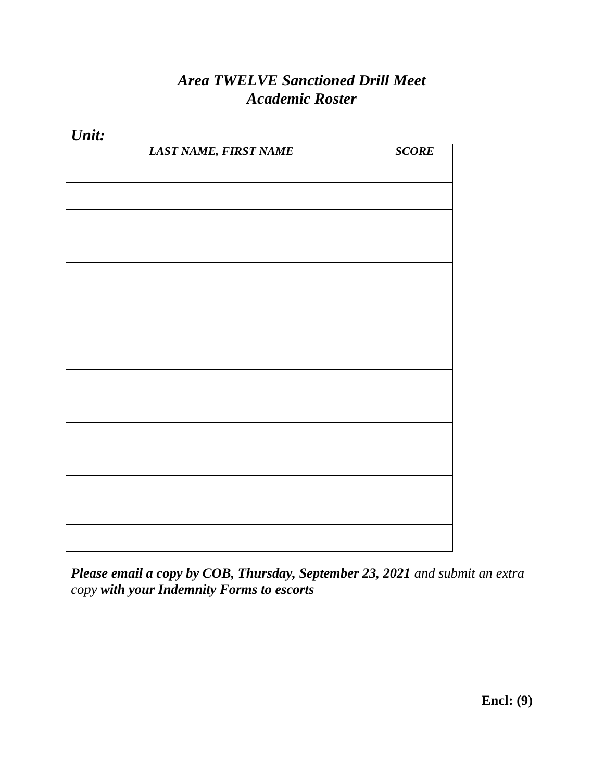# *Area TWELVE Sanctioned Drill Meet Academic Roster*

| $O$ illi.             |              |
|-----------------------|--------------|
| LAST NAME, FIRST NAME | <b>SCORE</b> |
|                       |              |
|                       |              |
|                       |              |
|                       |              |
|                       |              |
|                       |              |
|                       |              |
|                       |              |
|                       |              |
|                       |              |
|                       |              |
|                       |              |
|                       |              |
|                       |              |
|                       |              |
|                       |              |
|                       |              |
|                       |              |
|                       |              |
|                       |              |
|                       |              |
|                       |              |
|                       |              |
|                       |              |
|                       |              |
|                       |              |
|                       |              |
|                       |              |
|                       |              |

*Unit:*

*Please email a copy by COB, Thursday, September 23, 2021 and submit an extra copy with your Indemnity Forms to escorts*